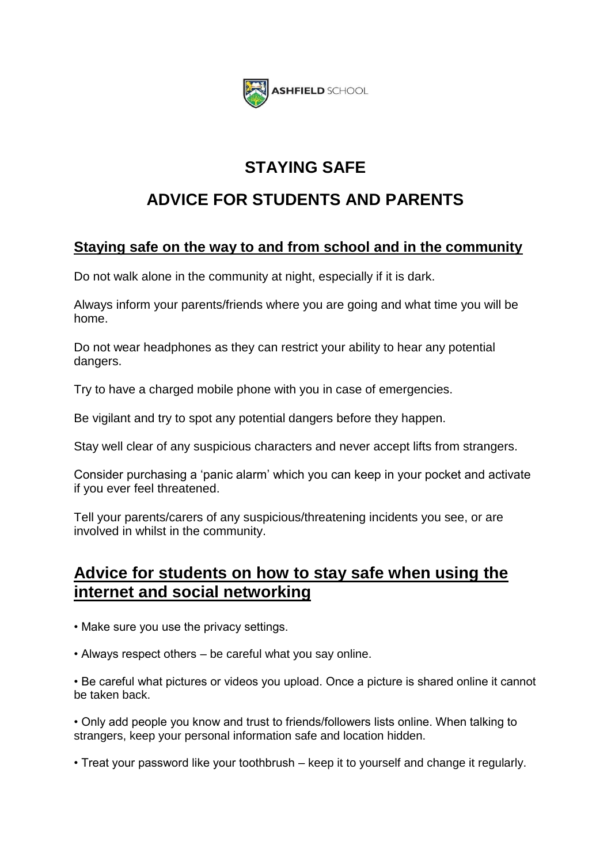

# **STAYING SAFE**

# **ADVICE FOR STUDENTS AND PARENTS**

## **Staying safe on the way to and from school and in the community**

Do not walk alone in the community at night, especially if it is dark.

Always inform your parents/friends where you are going and what time you will be home.

Do not wear headphones as they can restrict your ability to hear any potential dangers.

Try to have a charged mobile phone with you in case of emergencies.

Be vigilant and try to spot any potential dangers before they happen.

Stay well clear of any suspicious characters and never accept lifts from strangers.

Consider purchasing a 'panic alarm' which you can keep in your pocket and activate if you ever feel threatened.

Tell your parents/carers of any suspicious/threatening incidents you see, or are involved in whilst in the community.

## **Advice for students on how to stay safe when using the internet and social networking**

• Make sure you use the privacy settings.

• Always respect others – be careful what you say online.

• Be careful what pictures or videos you upload. Once a picture is shared online it cannot be taken back.

• Only add people you know and trust to friends/followers lists online. When talking to strangers, keep your personal information safe and location hidden.

• Treat your password like your toothbrush – keep it to yourself and change it regularly.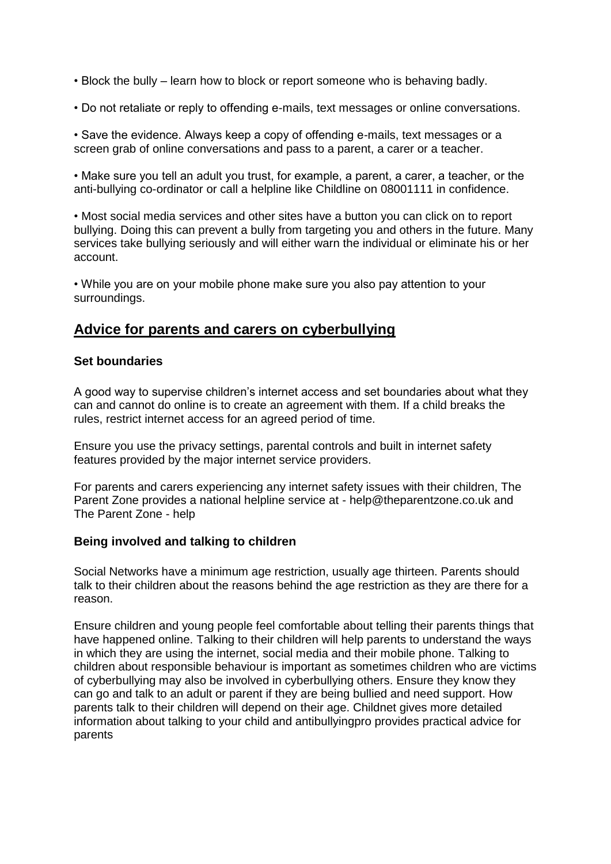- Block the bully learn how to block or report someone who is behaving badly.
- Do not retaliate or reply to offending e-mails, text messages or online conversations.

• Save the evidence. Always keep a copy of offending e-mails, text messages or a screen grab of online conversations and pass to a parent, a carer or a teacher.

• Make sure you tell an adult you trust, for example, a parent, a carer, a teacher, or the anti-bullying co-ordinator or call a helpline like Childline on 08001111 in confidence.

• Most social media services and other sites have a button you can click on to report bullying. Doing this can prevent a bully from targeting you and others in the future. Many services take bullying seriously and will either warn the individual or eliminate his or her account.

• While you are on your mobile phone make sure you also pay attention to your surroundings.

### **Advice for parents and carers on cyberbullying**

#### **Set boundaries**

A good way to supervise children's internet access and set boundaries about what they can and cannot do online is to create an agreement with them. If a child breaks the rules, restrict internet access for an agreed period of time.

Ensure you use the privacy settings, parental controls and built in internet safety features provided by the major internet service providers.

For parents and carers experiencing any internet safety issues with their children, The Parent Zone provides a national helpline service at - help@theparentzone.co.uk and The Parent Zone - help

#### **Being involved and talking to children**

Social Networks have a minimum age restriction, usually age thirteen. Parents should talk to their children about the reasons behind the age restriction as they are there for a reason.

Ensure children and young people feel comfortable about telling their parents things that have happened online. Talking to their children will help parents to understand the ways in which they are using the internet, social media and their mobile phone. Talking to children about responsible behaviour is important as sometimes children who are victims of cyberbullying may also be involved in cyberbullying others. Ensure they know they can go and talk to an adult or parent if they are being bullied and need support. How parents talk to their children will depend on their age. Childnet gives more detailed information about talking to your child and antibullyingpro provides practical advice for parents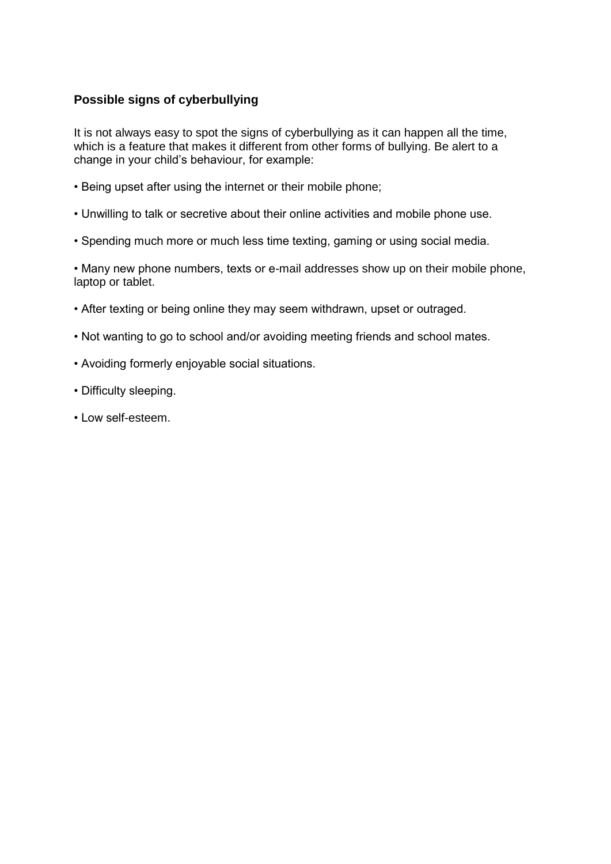### **Possible signs of cyberbullying**

It is not always easy to spot the signs of cyberbullying as it can happen all the time, which is a feature that makes it different from other forms of bullying. Be alert to a change in your child's behaviour, for example:

- Being upset after using the internet or their mobile phone;
- Unwilling to talk or secretive about their online activities and mobile phone use.
- Spending much more or much less time texting, gaming or using social media.

• Many new phone numbers, texts or e-mail addresses show up on their mobile phone, laptop or tablet.

- After texting or being online they may seem withdrawn, upset or outraged.
- Not wanting to go to school and/or avoiding meeting friends and school mates.
- Avoiding formerly enjoyable social situations.
- Difficulty sleeping.
- Low self-esteem.